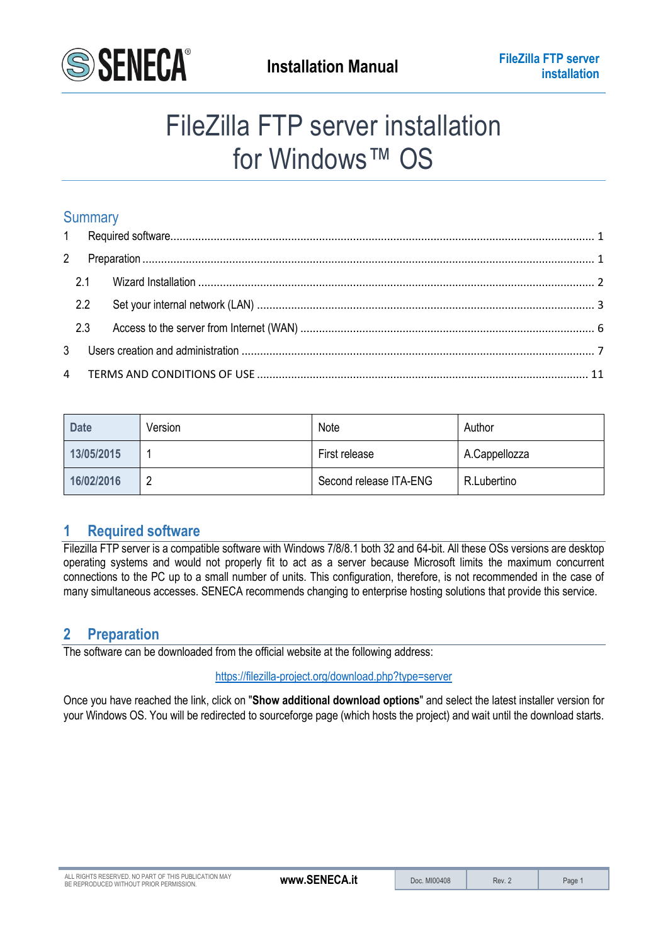

# FileZilla FTP server installation for Windows™ OS

## Summary

| 2.2 |  |
|-----|--|
|     |  |
|     |  |
|     |  |

| <b>Date</b> | Version | Note                   | Author        |
|-------------|---------|------------------------|---------------|
| 13/05/2015  |         | First release          | A.Cappellozza |
| 16/02/2016  |         | Second release ITA-ENG | R.Lubertino   |

# <span id="page-0-0"></span>**1 Required software**

Filezilla FTP server is a compatible software with Windows 7/8/8.1 both 32 and 64-bit. All these OSs versions are desktop operating systems and would not properly fit to act as a server because Microsoft limits the maximum concurrent connections to the PC up to a small number of units. This configuration, therefore, is not recommended in the case of many simultaneous accesses. SENECA recommends changing to enterprise hosting solutions that provide this service.

## <span id="page-0-1"></span>**2 Preparation**

The software can be downloaded from the official website at the following address:

<https://filezilla-project.org/download.php?type=server>

Once you have reached the link, click on "**Show additional download options**" and select the latest installer version for your Windows OS. You will be redirected to sourceforge page (which hosts the project) and wait until the download starts.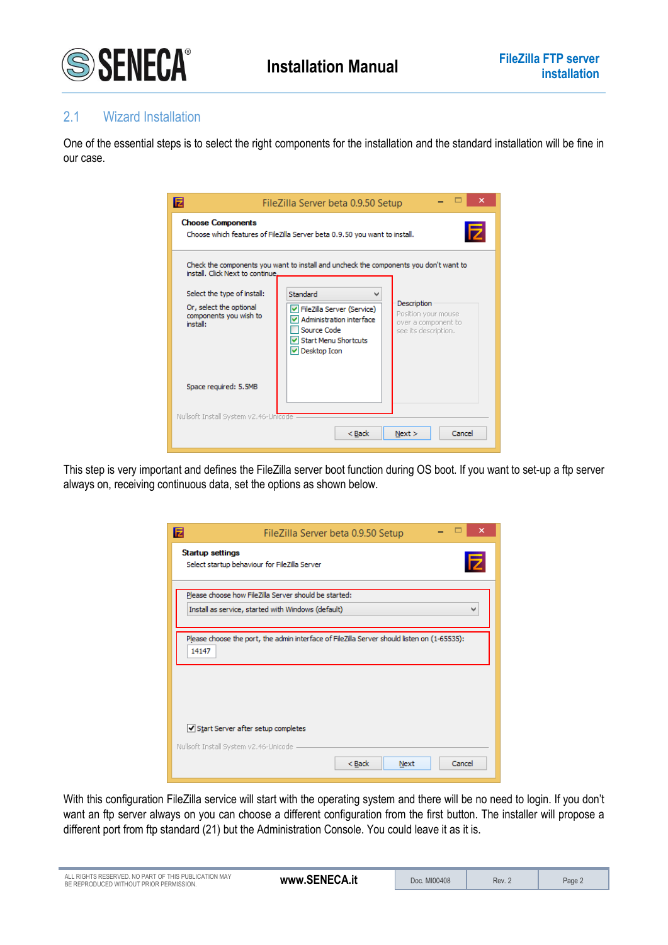

## <span id="page-1-0"></span>2.1 Wizard Installation

One of the essential steps is to select the right components for the installation and the standard installation will be fine in our case.

| E                                                                                                                                | FileZilla Server beta 0.9.50 Setup                                                                                                                                                                                                                                                                             |
|----------------------------------------------------------------------------------------------------------------------------------|----------------------------------------------------------------------------------------------------------------------------------------------------------------------------------------------------------------------------------------------------------------------------------------------------------------|
| <b>Choose Components</b>                                                                                                         | Choose which features of FileZilla Server beta 0.9.50 you want to install.                                                                                                                                                                                                                                     |
| install. Click Next to continue.<br>Select the type of install:<br>Or, select the optional<br>components you wish to<br>install: | Check the components you want to install and uncheck the components you don't want to<br>Standard<br>Description<br>√ FileZilla Server (Service)<br>Position your mouse<br>Administration interface<br>over a component to<br>Source Code<br>see its description.<br>IV Start Menu Shortcuts<br>∨ Desktop Icon |
| Space required: 5.5MB                                                                                                            |                                                                                                                                                                                                                                                                                                                |
| Nullsoft Install System v2.46-Unicode                                                                                            | Cancel<br>$Back$<br>Next                                                                                                                                                                                                                                                                                       |

This step is very important and defines the FileZilla server boot function during OS boot. If you want to set-up a ftp server always on, receiving continuous data, set the options as shown below.

| E<br>FileZilla Server beta 0.9.50 Setup                                                                                     |
|-----------------------------------------------------------------------------------------------------------------------------|
| Startup settings<br>Iz<br>Select startup behaviour for FileZilla Server                                                     |
| Please choose how FileZilla Server should be started:<br>Install as service, started with Windows (default)<br>$\checkmark$ |
| Please choose the port, the admin interface of FileZilla Server should listen on (1-65535):<br>14147                        |
|                                                                                                                             |
| Start Server after setup completes                                                                                          |
| Nullsoft Install System v2.46-Unicode<br>Cancel<br>$Back$<br>Next                                                           |

With this configuration FileZilla service will start with the operating system and there will be no need to login. If you don't want an ftp server always on you can choose a different configuration from the first button. The installer will propose a different port from ftp standard (21) but the Administration Console. You could leave it as it is.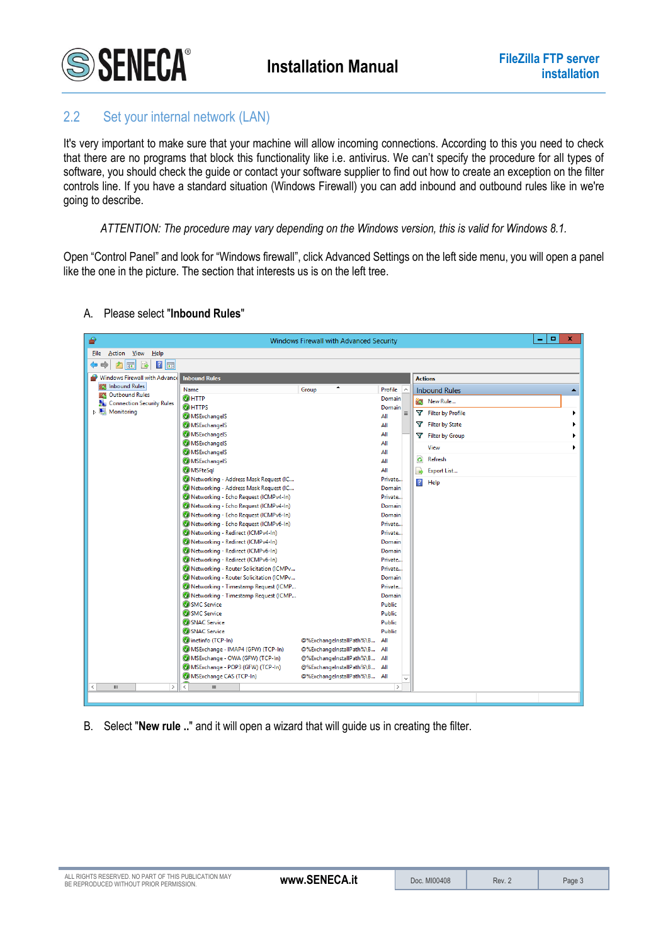

## <span id="page-2-0"></span>2.2 Set your internal network (LAN)

It's very important to make sure that your machine will allow incoming connections. According to this you need to check that there are no programs that block this functionality like i.e. antivirus. We can't specify the procedure for all types of software, you should check the guide or contact your software supplier to find out how to create an exception on the filter controls line. If you have a standard situation (Windows Firewall) you can add inbound and outbound rules like in we're going to describe.

*ATTENTION: The procedure may vary depending on the Windows version, this is valid for Windows 8.1.*

Open "Control Panel" and look for "Windows firewall", click Advanced Settings on the left side menu, you will open a panel like the one in the picture. The section that interests us is on the left tree.

| ⋒                                       |                                                                              | Windows Firewall with Advanced Security |                    |                         | шı<br>×.<br>۰    |
|-----------------------------------------|------------------------------------------------------------------------------|-----------------------------------------|--------------------|-------------------------|------------------|
| <b>File</b><br>Action View Help         |                                                                              |                                         |                    |                         |                  |
| $ ? _{\overline{50}}$<br>ir l           |                                                                              |                                         |                    |                         |                  |
| Windows Firewall with Advance           | <b>Inbound Rules</b>                                                         |                                         |                    | <b>Actions</b>          |                  |
| <b>ALC</b> Inbound Rules                | Name                                                                         | Group                                   | Profile<br>$\sim$  | <b>Inbound Rules</b>    | $\blacktriangle$ |
| <b>CA</b> Outbound Rules                | $Q$ HTTP                                                                     |                                         | Domain             | New Rule                |                  |
| Connection Security Rules<br>Monitoring | <b>OHTTPS</b>                                                                |                                         | Domain             |                         |                  |
|                                         | MSExchangelS                                                                 |                                         | $\equiv$<br>All    | Filter by Profile       |                  |
|                                         | <b>MSExchangelS</b>                                                          |                                         | All                | Filter by State         |                  |
|                                         | <b>MSExchangelS</b>                                                          |                                         | All                | Filter by Group         |                  |
|                                         | <b>MSExchangelS</b>                                                          |                                         | All                | View                    |                  |
|                                         | <b>MSExchangelS</b>                                                          |                                         | All                |                         |                  |
|                                         | <b>MSExchangelS</b>                                                          |                                         | All                | Refresh<br>$\mathbf{G}$ |                  |
|                                         | <b>MSFteSql</b>                                                              |                                         | All                | 国<br>Export List        |                  |
|                                         | Metworking - Address Mask Request (IC                                        |                                         | Private            | $\overline{?}$<br>Help  |                  |
|                                         | Metworking - Address Mask Request (IC                                        |                                         | Domain             |                         |                  |
|                                         | Networking - Echo Request (ICMPv4-In)                                        |                                         | Private            |                         |                  |
|                                         | Networking - Echo Request (ICMPv4-In)                                        |                                         | Domain             |                         |                  |
|                                         | Networking - Echo Request (ICMPv6-In)                                        |                                         | Domain             |                         |                  |
|                                         | Networking - Echo Request (ICMPv6-In)                                        |                                         | Private            |                         |                  |
|                                         | Networking - Redirect (ICMPv4-In)                                            |                                         | Private            |                         |                  |
|                                         | Networking - Redirect (ICMPv4-In)                                            |                                         | <b>Domain</b>      |                         |                  |
|                                         | Networking - Redirect (ICMPv6-In)                                            |                                         | Domain             |                         |                  |
|                                         | Networking - Redirect (ICMPv6-In)<br>Metworking - Router Solicitation (ICMPv |                                         | Private<br>Private |                         |                  |
|                                         | Metworking - Router Solicitation (ICMPv                                      |                                         | Domain             |                         |                  |
|                                         | Metworking - Timestamp Request (ICMP                                         |                                         | Private            |                         |                  |
|                                         | Networking - Timestamp Request (ICMP                                         |                                         | Domain             |                         |                  |
|                                         | SMC Service                                                                  |                                         | <b>Public</b>      |                         |                  |
|                                         | SMC Service                                                                  |                                         | Public             |                         |                  |
|                                         | SNAC Service                                                                 |                                         | <b>Public</b>      |                         |                  |
|                                         | SNAC Service                                                                 |                                         | <b>Public</b>      |                         |                  |
|                                         | Cinetinfo (TCP-In)                                                           | @%ExchangeInstallPath%\B                | All                |                         |                  |
|                                         | MSExchange - IMAP4 (GFW) (TCP-In)                                            | @%ExchangeInstallPath%\B                | All                |                         |                  |
|                                         | MSExchange - OWA (GFW) (TCP-In)                                              | @%ExchangeInstallPath%\B All            |                    |                         |                  |
|                                         | MSExchange - POP3 (GFW) (TCP-In)                                             | @%ExchangeInstallPath%\B All            |                    |                         |                  |
|                                         | MSExchange CAS (TCP-In)                                                      | @%ExchangeInstallPath%\B All            | $\checkmark$       |                         |                  |
| $\mathbf{H}$<br>$\rightarrow$<br>≺      | $\mathbf{H}$<br>$\overline{\phantom{a}}$                                     |                                         | $\rightarrow$      |                         |                  |
|                                         |                                                                              |                                         |                    |                         |                  |
|                                         |                                                                              |                                         |                    |                         |                  |

## A. Please select "**Inbound Rules**"

B. Select "**New rule ..**" and it will open a wizard that will guide us in creating the filter.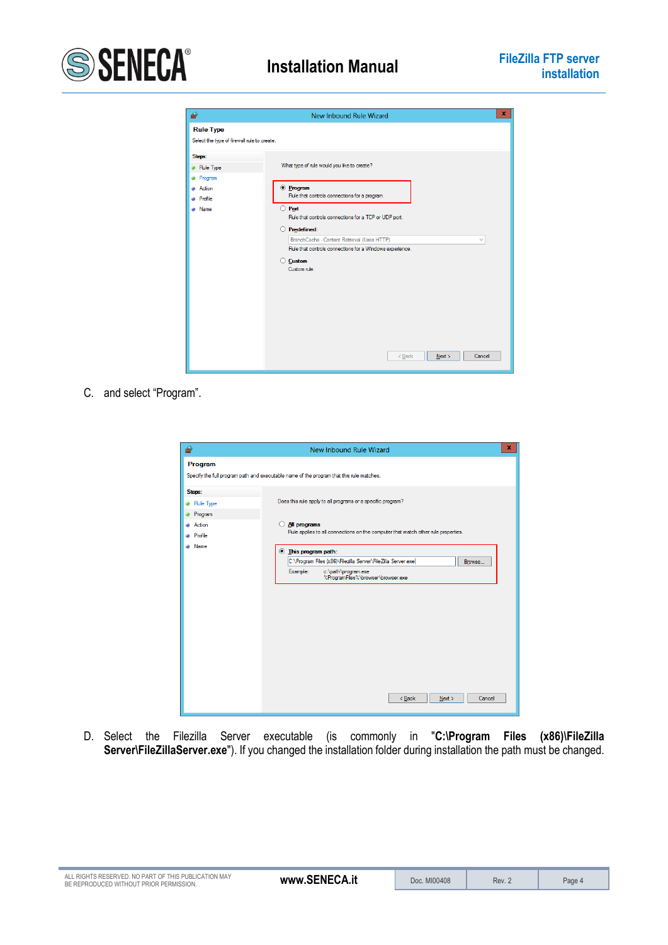

| ⋒                                                                    | $\mathbf x$<br>New Inbound Rule Wizard                                                                                                                                                                                                                                                                                                                                |
|----------------------------------------------------------------------|-----------------------------------------------------------------------------------------------------------------------------------------------------------------------------------------------------------------------------------------------------------------------------------------------------------------------------------------------------------------------|
| <b>Rule Type</b><br>Select the type of firewall rule to create.      |                                                                                                                                                                                                                                                                                                                                                                       |
| Steps:<br>Rule Type<br>Program<br>Action<br>Profile<br><b>a</b> Name | What type of rule would you like to create?<br>$\odot$ Program<br>Rule that controls connections for a program.<br>Port<br>O<br>Rule that controls connections for a TCP or UDP port.<br>Predefined:<br>BranchCache - Content Retrieval (Uses HTTP)<br>$\checkmark$<br>Rule that controls connections for a Windows experience.<br><b>Custom</b><br>Ω<br>Custom rule. |
|                                                                      | $Back$<br>Next<br>Cancel                                                                                                                                                                                                                                                                                                                                              |

C. and select "Program".

| ₩                                                               | x<br>New Inbound Rule Wizard                                                                                                                                                                                                                                                                                                                                                  |
|-----------------------------------------------------------------|-------------------------------------------------------------------------------------------------------------------------------------------------------------------------------------------------------------------------------------------------------------------------------------------------------------------------------------------------------------------------------|
| Program                                                         | Specify the full program path and executable name of the program that this rule matches.                                                                                                                                                                                                                                                                                      |
| Steps:<br>Rule Type<br>Program<br>Action<br>• Profile<br>• Name | Does this rule apply to all programs or a specific program?<br>All programs<br>Rule applies to all connections on the computer that match other rule properties.<br><b>Ihis program path:</b><br>C:\Program Files (x86)\Filezilla Server\FileZilla Server.exe <br>Browse<br>Example:<br>c:\path\program.exe<br>%ProgramFiles%\browser\browser.exe<br>$Back$<br>Cancel<br>Next |

D. Select the Filezilla Server executable (is commonly in "**C:\Program Files (x86)\FileZilla Server\FileZillaServer.exe**"). If you changed the installation folder during installation the path must be changed.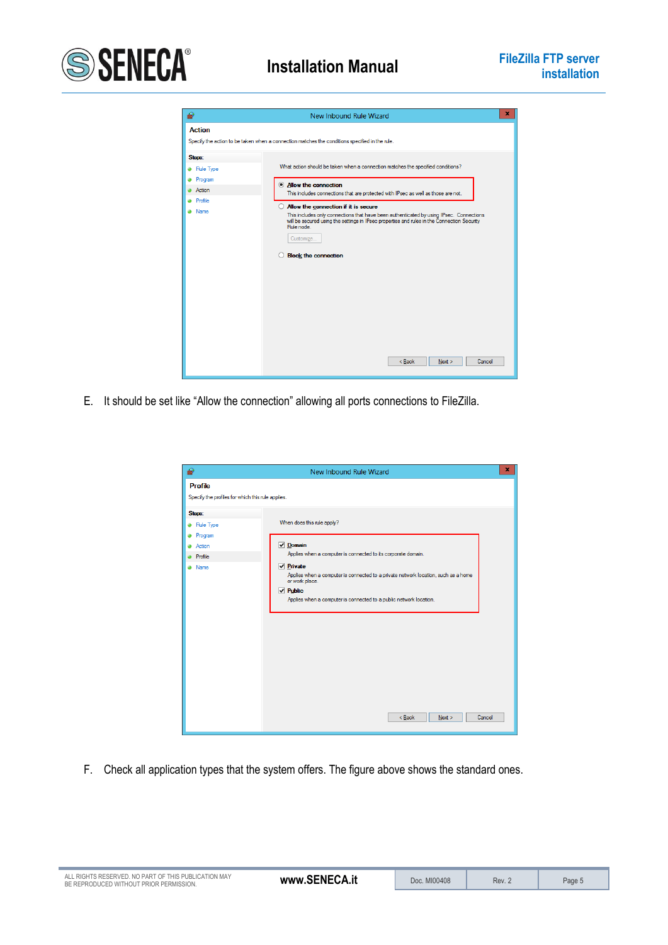



E. It should be set like "Allow the connection" allowing all ports connections to FileZilla.

| ⋒                                                                   | x<br>New Inbound Rule Wizard                                                                                                                                                                                                                         |
|---------------------------------------------------------------------|------------------------------------------------------------------------------------------------------------------------------------------------------------------------------------------------------------------------------------------------------|
| <b>Profile</b><br>Specify the profiles for which this rule applies. |                                                                                                                                                                                                                                                      |
| Steps:<br><b>a</b> Rule Type<br><b>•</b> Program                    | When does this rule apply?                                                                                                                                                                                                                           |
| <b>Action</b><br><b>Profile</b>                                     | $\nabla$ Domain<br>Applies when a computer is connected to its corporate domain.                                                                                                                                                                     |
| a Name                                                              | $\triangledown$ Private<br>Applies when a computer is connected to a private network location, such as a home<br>or work place.<br>$\vee$ Public<br>Applies when a computer is connected to a public network location.<br>$Back$<br>Next ><br>Cancel |

F. Check all application types that the system offers. The figure above shows the standard ones.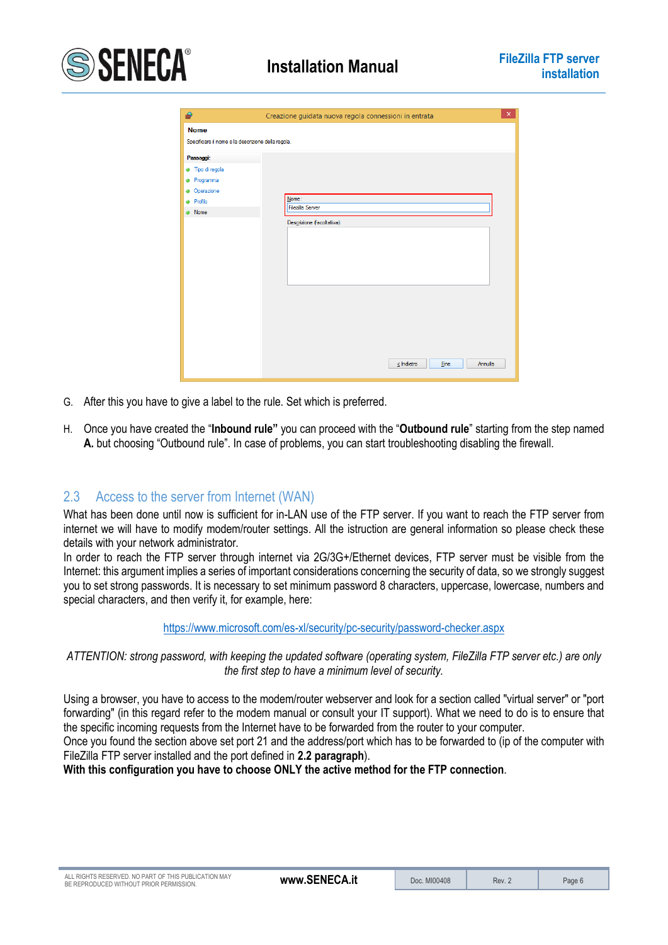

| ⋒                                                                 | $\pmb{\times}$<br>Creazione guidata nuova regola connessioni in entrata |
|-------------------------------------------------------------------|-------------------------------------------------------------------------|
| <b>Nome</b><br>Specificare il nome e la descrizione della regola. |                                                                         |
| Passaggi:                                                         |                                                                         |
| <b>3</b> Tipo di regola                                           |                                                                         |
| Programma<br>٠                                                    |                                                                         |
| • Operazione                                                      |                                                                         |
| <b>a</b> Profilo                                                  | Nome:                                                                   |
| • Nome                                                            | <b>Filezilla Server</b>                                                 |
|                                                                   | Descrizione (facoltativa):                                              |
|                                                                   |                                                                         |
|                                                                   |                                                                         |
|                                                                   |                                                                         |
|                                                                   |                                                                         |
|                                                                   |                                                                         |
|                                                                   |                                                                         |
|                                                                   |                                                                         |
|                                                                   |                                                                         |
|                                                                   |                                                                         |
|                                                                   |                                                                         |
|                                                                   |                                                                         |
|                                                                   |                                                                         |
|                                                                   |                                                                         |
|                                                                   | Annulla<br><b>Fine</b><br>$\leq$ Indietro                               |

- G. After this you have to give a label to the rule. Set which is preferred.
- H. Once you have created the "**Inbound rule"** you can proceed with the "**Outbound rule**" starting from the step named **A.** but choosing "Outbound rule". In case of problems, you can start troubleshooting disabling the firewall.

## <span id="page-5-0"></span>2.3 Access to the server from Internet (WAN)

What has been done until now is sufficient for in-LAN use of the FTP server. If you want to reach the FTP server from internet we will have to modify modem/router settings. All the istruction are general information so please check these details with your network administrator.

In order to reach the FTP server through internet via 2G/3G+/Ethernet devices, FTP server must be visible from the Internet: this argument implies a series of important considerations concerning the security of data, so we strongly suggest you to set strong passwords. It is necessary to set minimum password 8 characters, uppercase, lowercase, numbers and special characters, and then verify it, for example, here:

#### <https://www.microsoft.com/es-xl/security/pc-security/password-checker.aspx>

#### *ATTENTION: strong password, with keeping the updated software (operating system, FileZilla FTP server etc.) are only the first step to have a minimum level of security.*

Using a browser, you have to access to the modem/router webserver and look for a section called "virtual server" or "port forwarding" (in this regard refer to the modem manual or consult your IT support). What we need to do is to ensure that the specific incoming requests from the Internet have to be forwarded from the router to your computer.

Once you found the section above set port 21 and the address/port which has to be forwarded to (ip of the computer with FileZilla FTP server installed and the port defined in **2.2 paragraph**).

**With this configuration you have to choose ONLY the active method for the FTP connection**.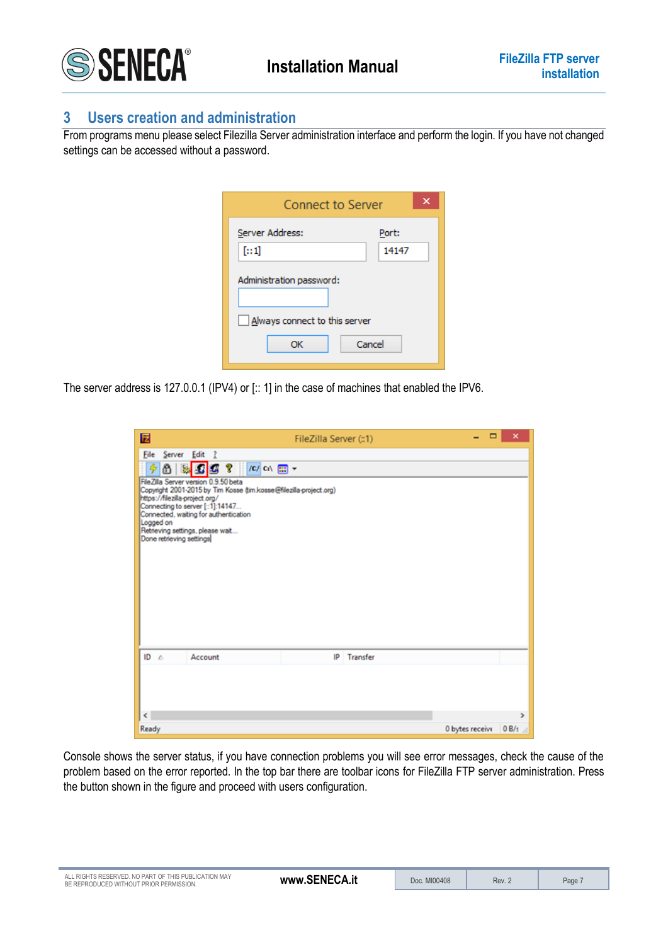

## <span id="page-6-0"></span>**3 Users creation and administration**

From programs menu please select Filezilla Server administration interface and perform the login. If you have not changed settings can be accessed without a password.

| Port:<br>14147           |                                                                     |  |
|--------------------------|---------------------------------------------------------------------|--|
| Administration password: |                                                                     |  |
|                          |                                                                     |  |
|                          |                                                                     |  |
|                          | <b>Connect to Server</b><br>Always connect to this server<br>Cancel |  |

The server address is 127.0.0.1 (IPV4) or [:: 1] in the case of machines that enabled the IPV6.

| 囩                                                                                                                                                                                            | FileZilla Server (::1) |             | ▭               | $\boldsymbol{\mathsf{x}}$ |
|----------------------------------------------------------------------------------------------------------------------------------------------------------------------------------------------|------------------------|-------------|-----------------|---------------------------|
| File Server Edit ?<br>/C/ Ci\ [ ] +<br>90199<br>FileZilla Server version 0.9.50 beta<br>Copyright 2001-2015 by Tim Kosse (tim kosse@filezilla-project.org)<br>https://filezilla-project.org/ |                        |             |                 |                           |
| Connecting to server [::1]:14147<br>Connected, waiting for authentication<br>Logged on<br>Retrieving settings, please wait<br>Done retrieving settings                                       |                        |             |                 |                           |
|                                                                                                                                                                                              |                        |             |                 |                           |
|                                                                                                                                                                                              |                        |             |                 |                           |
| $\mathsf{ID}$ $\land$<br>Account                                                                                                                                                             |                        | IP Transfer |                 |                           |
| $\epsilon$                                                                                                                                                                                   |                        |             |                 | $\rightarrow$             |
| Ready                                                                                                                                                                                        |                        |             | 0 bytes receive | 0B/4                      |

Console shows the server status, if you have connection problems you will see error messages, check the cause of the problem based on the error reported. In the top bar there are toolbar icons for FileZilla FTP server administration. Press the button shown in the figure and proceed with users configuration.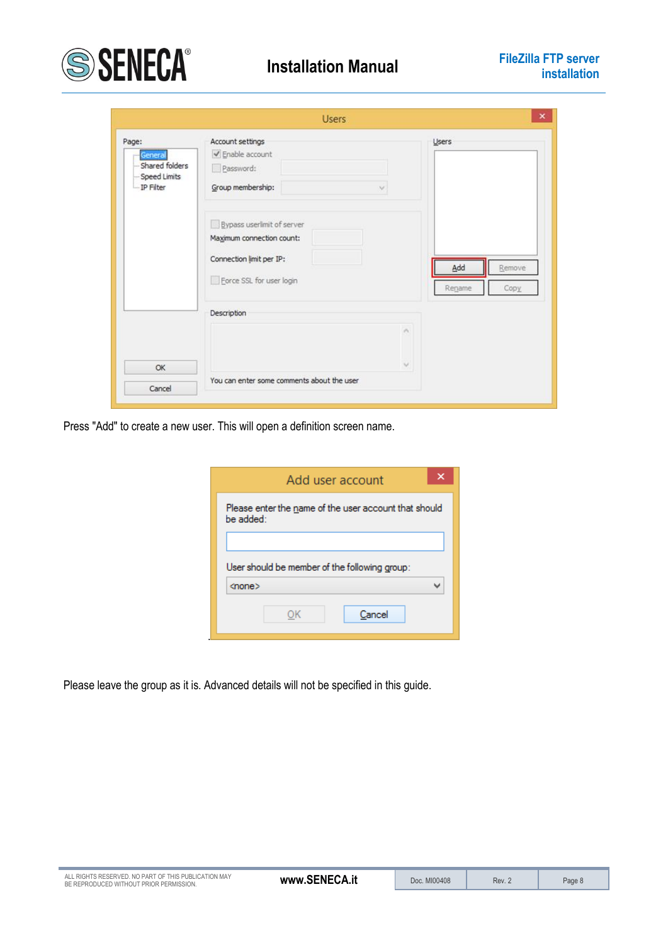

| Page:                     | Account settings                           | Users          |
|---------------------------|--------------------------------------------|----------------|
| General                   | √ Enable account                           |                |
| -Shared folders           | Password:                                  |                |
| Speed Limits<br>IP Filter | Group membership:<br>$\mathcal{M}$         |                |
|                           | Bypass userlimit of server                 |                |
|                           | Maximum connection count:                  |                |
|                           | Connection limit per IP:                   |                |
|                           |                                            | Add<br>Remove  |
|                           | Force SSL for user login                   | Regame<br>Copy |
|                           | Description                                |                |
|                           | r.                                         |                |
| OK                        | $\mathcal{N}$                              |                |
| Cancel                    | You can enter some comments about the user |                |

Press "Add" to create a new user. This will open a definition screen name.

|               |    | Add user account                                      |  |
|---------------|----|-------------------------------------------------------|--|
| be added:     |    | Please enter the name of the user account that should |  |
|               |    | User should be member of the following group:         |  |
| <none></none> |    |                                                       |  |
|               | ОК | Cancel                                                |  |

Please leave the group as it is. Advanced details will not be specified in this guide.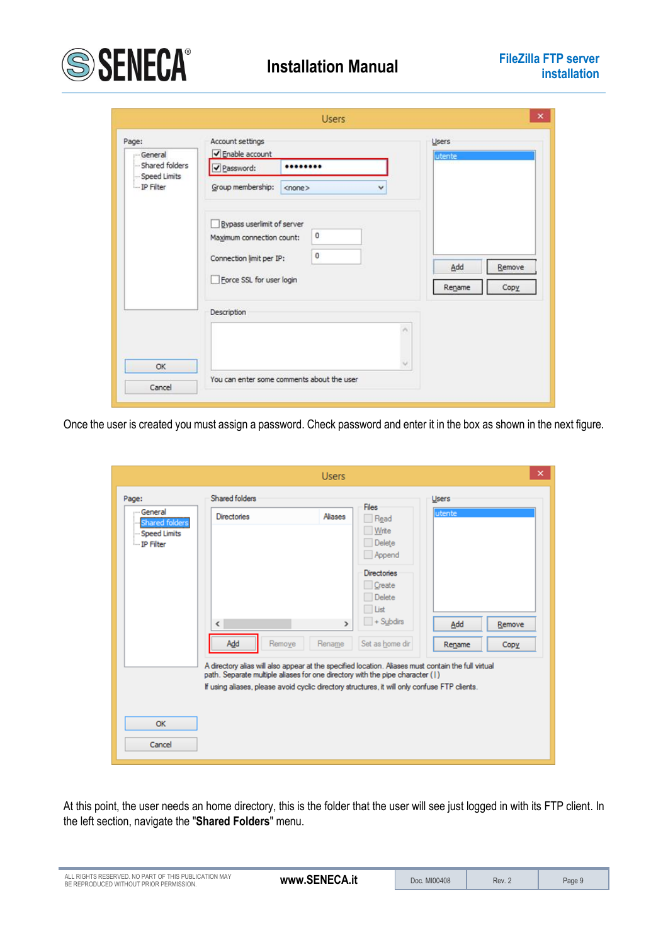

| Page:<br>General                            | Account settings<br>√ Enable account |                                            |    | Users  |        |
|---------------------------------------------|--------------------------------------|--------------------------------------------|----|--------|--------|
| Shared folders<br>Speed Limits<br>IP Filter | Password:                            |                                            |    | utente |        |
|                                             | Group membership:                    | $<$ none $>$<br>$\checkmark$               |    |        |        |
|                                             | Bypass userlimit of server           | $\circ$                                    |    |        |        |
|                                             | Maximum connection count:            |                                            |    |        |        |
|                                             | Connection limit per IP:             | $\circ$                                    |    | Add    | Remove |
|                                             | Force SSL for user login             |                                            |    |        |        |
|                                             |                                      |                                            |    | Rename | Copy   |
|                                             | Description                          |                                            |    |        |        |
|                                             |                                      |                                            | r. |        |        |
| OK                                          |                                      |                                            |    |        |        |
| Cancel                                      |                                      | You can enter some comments about the user |    |        |        |

Once the user is created you must assign a password. Check password and enter it in the box as shown in the next figure.

|                                                                            |                                                                                                                                                                                                                                                                                                                                                             | <b>Users</b>                       |                                                                                                                                       |                                         | $\times$       |
|----------------------------------------------------------------------------|-------------------------------------------------------------------------------------------------------------------------------------------------------------------------------------------------------------------------------------------------------------------------------------------------------------------------------------------------------------|------------------------------------|---------------------------------------------------------------------------------------------------------------------------------------|-----------------------------------------|----------------|
| Page:<br>- General<br><b>Shared folders</b><br>Speed Limits<br>- IP Filter | Shared folders<br><b>Directories</b><br>$\langle$<br>Add<br>Remove<br>A directory alias will also appear at the specified location. Aliases must contain the full virtual<br>path. Separate multiple aliases for one directory with the pipe character (1)<br>If using aliases, please avoid cyclic directory structures, it will only confuse FTP clients. | Aliases<br>$\rightarrow$<br>Rename | <b>Files</b><br>Read<br>Write<br>Delete<br>Append<br><b>Directories</b><br>Create<br>Delete<br>List<br>$+$ Subdirs<br>Set as home dir | <b>Users</b><br>utente<br>Add<br>Rename | Remove<br>Copy |
| OK<br>Cancel                                                               |                                                                                                                                                                                                                                                                                                                                                             |                                    |                                                                                                                                       |                                         |                |

At this point, the user needs an home directory, this is the folder that the user will see just logged in with its FTP client. In the left section, navigate the "**Shared Folders**" menu.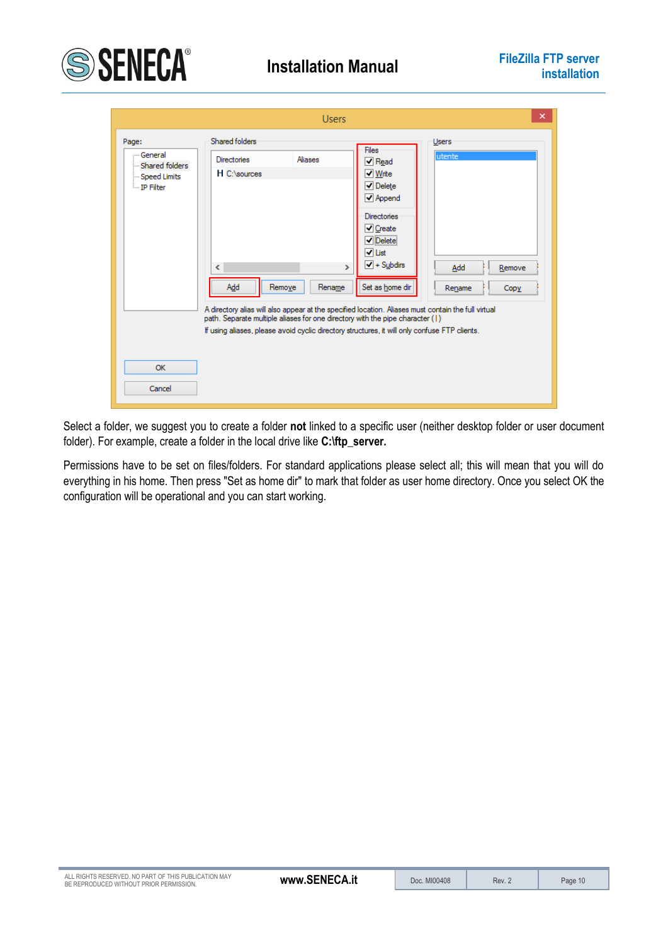

|                                                                                   | ×<br><b>Users</b>                                                                                                                                                                                                                                                                                                                                                                                                                                                                                                                                                                                                                                                                       |
|-----------------------------------------------------------------------------------|-----------------------------------------------------------------------------------------------------------------------------------------------------------------------------------------------------------------------------------------------------------------------------------------------------------------------------------------------------------------------------------------------------------------------------------------------------------------------------------------------------------------------------------------------------------------------------------------------------------------------------------------------------------------------------------------|
| Page:<br>- General<br>Shared folders<br>-Speed Limits<br>$\blacksquare$ IP Filter | Shared folders<br>Users<br>Files<br>lutente<br><b>Aliases</b><br><b>Directories</b><br>$\blacktriangledown$ Read<br>H C:\sources<br>√ Write<br>$\sqrt{}$ Delete<br>√ Append<br><b>Directories</b><br>$\triangledown$ Create<br><b>√</b> Delete<br>√ List<br>$\sqrt{}$ + Subdirs<br>$\langle$<br>$\rightarrow$<br>Add<br>Remove<br>Add<br>Set as home dir<br>Remove<br>Rename<br>Rename<br>Copy<br>A directory alias will also appear at the specified location. Aliases must contain the full virtual<br>path. Separate multiple aliases for one directory with the pipe character (1)<br>If using aliases, please avoid cyclic directory structures, it will only confuse FTP clients. |
| OK<br>Cancel                                                                      |                                                                                                                                                                                                                                                                                                                                                                                                                                                                                                                                                                                                                                                                                         |

Select a folder, we suggest you to create a folder **not** linked to a specific user (neither desktop folder or user document folder). For example, create a folder in the local drive like **C:\ftp\_server.**

Permissions have to be set on files/folders. For standard applications please select all; this will mean that you will do everything in his home. Then press "Set as home dir" to mark that folder as user home directory. Once you select OK the configuration will be operational and you can start working.